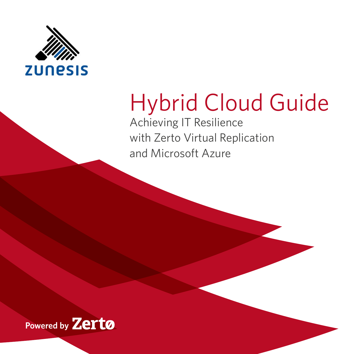

# Hybrid Cloud Guide

Achieving IT Resilience with Zerto Virtual Replication and Microsoft Azure

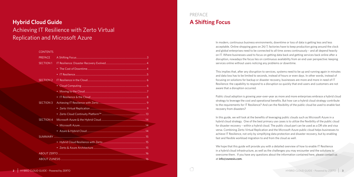# **Hybrid Cloud Guide** Achieving IT Resilience with Zerto Virtual Replication and Microsoft Azure

### PREFACE **A Shifting Focus**

In modern, continuous business environments, downtime or loss of data is getting less and less acceptable. Online shopping goes on 24/7, factories have to keep production going around the clock and global enterprises need to be connected to all time zones continuously – and all depend heavily on IT. Where businesses used to focus on getting data back and getting services back online after a disruption, nowadays the focus lies on continuous availability from an end user perspective: keeping services online without users noticing any problems or downtime.

This implies that, after any disruption to services, systems need to be up and running again in minutes and data loss has to be limited to seconds, instead of hours or even days. In other words, instead of focusing on solutions for backup or disaster recovery, businesses are more and more in need of IT Resilience: the capability to respond to a disruption so quickly that end-users and customers are not aware that a disruption occurred.

Public cloud adoption is growing year-over-year as more and more enterprises embrace a hybrid cloud strategy to leverage the cost and operational benefits. But how can a hybrid cloud strategy contribute to the requirements for IT Resilience? And can the flexibility of the public cloud be used to enable fast recovery from disasters?

In this guide, we will look at the benefits of leveraging public clouds such as Microsoft Azure in a hybrid cloud strategy. One of the best primary use cases is to utilize the flexibility of the public cloud for disaster recovery – within a hybrid cloud. The public cloud part can be used as a DR site and visa versa. Combining Zerto Virtual Replication and the Microsoft Azure public cloud helps businesses to achieve IT Resilience, not only by simplifying data protection and disaster recovery, but by enabling fast and flexible workload migration to and from the cloud as well.

We hope that this guide will provide you with a detailed overview of how to enable IT Resilience in a hybrid cloud infrastructure, as well as the challenges you may encounter and the solutions to overcome them. If you have any questions about the information contained here, please contact us at **[info@zunesis.com](mailto:info%40zunesis.com?subject=)**.

#### CONTENTS

| <b>PREFACE</b>   |  |  |  |  |
|------------------|--|--|--|--|
| <b>SECTION 1</b> |  |  |  |  |
|                  |  |  |  |  |
|                  |  |  |  |  |
| <b>SECTION 2</b> |  |  |  |  |
|                  |  |  |  |  |
|                  |  |  |  |  |
|                  |  |  |  |  |
| <b>SECTION 3</b> |  |  |  |  |
|                  |  |  |  |  |
|                  |  |  |  |  |
| <b>SECTION 4</b> |  |  |  |  |
|                  |  |  |  |  |
|                  |  |  |  |  |
|                  |  |  |  |  |
|                  |  |  |  |  |
|                  |  |  |  |  |
|                  |  |  |  |  |
|                  |  |  |  |  |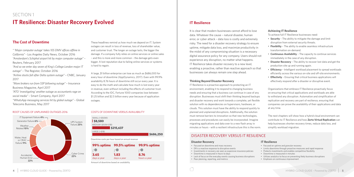### <span id="page-2-0"></span>SECTION 1 **IT Resilience: Disaster Recovery Evolved**



### **The Cost of Downtime**

*" 'Major computer outage' takes 105 DMV offices offline in California"* - Los Angeles Daily News, October 2016 *"Amsterdam's Schiphol airport hit by major computer outage"* – Reuters, February 2017

*"And so we enter day seven of King's College London major IT outage"* – The Register, October 2016

*"Airline stocks fall after Delta system outage"* – CNBC, January 2017

*"More brokers run from SSP following outage" –* Insurance Business Magazine, April 2017

*"ATO 'investigating' another outage as accountants rage on social media"* – Smart Company, April 2017 *"WhatsApp messaging services hit by global outage"* – Global Telecoms Business, May 2017

These headlines remind us how much we depend on IT. System outages can result in loss of revenue, loss of shareholder value, and customer trust. The longer an outage lasts, the bigger the damage. If a company fully relies on online services or online sales – and this is more and more common – the damage gets even bigger. A lost reputation due to failing online services or systems is hard to regain.

A large, \$1 billion enterprise can lose as much as \$686,000 for every hour of downtime (AppDynamics, 2017). Even with 99.9% availability 8.76 hours of downtime still occur every year. It is easy to do the math and calculate how much is lost every year in revenue, even without including the effects of customer trust. According to the IDC, Fortune 1000 companies lose between \$1.25 billion and \$2.5 billion every year because of application outages.

#### COSTS OF DOWNTIME VERSUS AVAILABILITY





Amount of downtime based on availability

#### ROOT CAUSES OF UNPLANNED OUTAGES 2016

### **IT Resilience**

It is clear that modern businesses cannot afford to lose data. Whatever the cause – natural disaster, human error, or cyber attack – data loss is costly and extremely risky. The need for a disaster recovery strategy to ensure uptime, mitigate data loss, and maximize productivity in the midst of any compromising situation is a necessary digital assurance policy for any company. Users should not experience any disruption, no matter what happens. IT Resilience takes disaster recovery to a new level, enabling a proactive, rather than reactive approach so that businesses can always remain one step ahead.

#### **Thinking Beyond Disaster Recovery**

IT Resilience is a proactive approach to protecting an IT environment, enabling it to respond to changing business needs and ensuring that a business can continue in case of any disruption. Businesses must shift their thinking beyond backups and disaster recovery and work towards a complete, yet flexible solution with no dependencies on hypervisors, hardware, or clouds. This solution must have the ability to respond quickly to planned and unplanned disruptions. Additionally, the solution must remove barriers to innovation so that new technologies, processes and procedures can easily be incorporated. Imagine migrating applications and data over to a new flash array in minutes or hours - with a resilient infrastructure this is the norm.

#### **Achieving IT Resilience**

To achieve full IT Resilience businesses need:

- **Security** The ability to mitigate the damage and limit disruption from external security threats.
- **Flexibility** The ability to enable seamless infrastructure transformation on-demand.
- **Continuous Availability** The capacity to continue services immediately in the case of any disruption.
- **Disaster Recovery** The ability to recover lost data and get the production site up and running again.
- **Efficiency** Intelligent workload placement to spread workloads efficiently across the various on-site and off-site environments.
- **Effectivity** Ensuring that critical business applications will effectively respond after a disaster or disruptive event.

Organizations that embrace IT Resilience proactively focus on ensuring that critical applications and workloads are able to withstand any disruption. Automation and simplification of replication and recovery are part of resilience, ensuring that companies can prove the availability of their applications and data at any time.

The next chapters will show how a hybrid cloud environment can contribute to IT Resilience and how **Zerto Virtual Replication** can help businesses shorten recovery times, reduce data loss, and simplify workload migration.

#### **Disaster Recovery**

- Focused on downtime and mass recovery
- DR is a reactive response to disruptive events
- Investments in recovery are seen as expensive insurance policies
- Downtime is measured in hours to days
- Lack of focus on the everyday events causing business disruptions
- Poor planning, reporting, and metrics

#### **IT Resilience**

• Focused on uptime and granular recovery

- Limits downtime through proactive measures and rapid response
- Protects investments and enables competitive flexibility
- Downtime is measured in minutes
- Utilizes analytics to focus on preventing likely business disruptions
- Emphasis on continuous improvement

#### DISASTER RECOVERY VERSUS IT RESILIENCE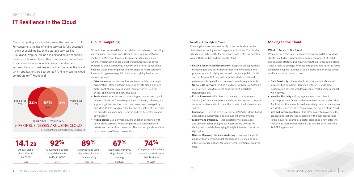**6** HYBRID CLOUD GUIDE – Powered by ZERTO HYBRID CLOUD GUIDE – Powered by ZERTO **7**

### <span id="page-3-0"></span>SECTION 2 **IT Resilience in the Cloud**

Cloud computing is rapidly becoming the new norm in IT. For consumers the use of online services is fully accepted – think of social media, online storage services like iCloud and DropBox, online banking and online shopping. Businesses however have other priorities and are inclined to use a combination of online services and on-site systems. How can businesses use the cloud effectively and which applications are best suited? And how can the cloud contribute to IT Resilience?

### **Cloud Computing**

Virtualization loosened the strict relationship between computing and the underlying hardware. Using hypervisors like VMware vSphere or Microsoft Hyper-V to create a virtualization later where virtual machines use a pool of shared resources paved the path to cloud computing. Network and internet speeds have become faster and companies like Amazon and Microsoft have invested in hyper-scale public datacenters, giving businesses various options:

- **Private clouds** are infrastructures operated solely for a single organization, often hosted in-house. A private cloud provides better control of resources and is therefore often used for critical applications and sensitive data.
- **Public clouds** offer access to computing resources over a public network. Users don't need to purchase hardware, software, and supporting infrastructure, which are owned and managed by providers. Public clouds are flexible and cost efficient, since they are provided on a pay-per-use basis and can be scaled up and down easily.
- **Hybrid clouds** use a private cloud foundation combined with public cloud services. Most companies use combinations of private and public cloud resources. This makes hybrid cloud the most common of these three options.



| 14.1 z <sub>B</sub>                          | 92%                                                             | 89%                                                         | 67%                                                      | <b>74%</b>                                                          |
|----------------------------------------------|-----------------------------------------------------------------|-------------------------------------------------------------|----------------------------------------------------------|---------------------------------------------------------------------|
| Annual global<br>cloud IP traffic<br>by 2020 | Cloud traffic as part<br>of total datacenter<br>traffic in 2020 | Organizations using<br>the public cloud in<br>some capacity | Businesses currently<br>using a hybrid cloud<br>strategy | Companies who believe<br>a hybrid cloud will grow<br>their business |
| Cisco                                        | Cisco                                                           | RightScale                                                  | RightScale                                               | Microsoft                                                           |

*Source: Rightscale 2017 State Of The Cloud Report*

#### **Benefits of the Hybrid Cloud**

Some applications can move easily to the public cloud while others face technological and regulatory obstacles. That is why hybrid cloud is the reality for most enterprises, offering benefits from both the public and the private cloud:

- **Flexible Security and Governance**  Keep critical applications, sensitive data and performance-intensive workloads in the private cloud or in highly secure and compliant public clouds such as Microsoft Azure, with sophisticated security and governance designed for a company's specific requirements.
- **Up-to-Date Software**  Public cloud offers innovative Softwareas-a-Service (SaaS) business apps for CRM, analytics, transactions, etc.
- **Elastic Resources**  Flexible, scalable Infrastructure-as-a-Service (IaaS) on a pay-per-use basis, for storage and compute services on-demand or to burst the private cloud when demand spikes.
- **Innovation**  Use Platform-as-a-Service (PaaS) for cloud-based application development and deployment environments.
- **Mobility and Efficiency**  Make portability of data, apps and services easier and give businesses more choices for deployment models, leveraging the right infrastructure at the right price.
- **Disaster Recovery, Back-up, Archiving**  Leverage the public cloud with on-demand, burst capacity as a DR site and costeffective storage options for longer-term retention of archived data.

#### **Moving to the Cloud**

#### **What to Move to the Cloud**

Whereas five years ago IT executives approached the cloud with skepticism, today it is accepted as a key component of both IT and business strategy. But moving everything to the public cloud is not a realistic strategy for most enterprises. It is better to focus on determining the right use of public cloud and prioritize which workloads can be moved or not.

- **Data Sensitivity**  Think about prioritizing applications with less sensitive data first. Having an enterprise-wide data classification scheme with low/medium/high business impact will help you.
- **Need for Elasticity**  Many applications have spikes in consumption that fit well with on-demand resource allocations. Applications that are only used intensively once or twice a year are ideally suited to the dynamic scale-out nature of the cloud.
- **Size and Interconnections**  It is often easier to move smaller applications that are less integrated with other applications to the cloud. For example, a portal promoting a new offer will typically be more self-contained, and smaller, than that 1986 SAP ERP application.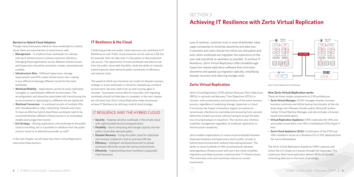#### <span id="page-4-0"></span>**Barriers to Hybrid Cloud Adoption**

Though many businesses intend to move workloads to a hybrid cloud, there are some barriers to overcome as well:

- **Management** In a hybrid cloud, workloads run natively with each infrastructure to achieve maximum efficiency. Managing these applications across different infrastructures and hypervisors should be consistent, simple, automated and scalable.
- **Infrastructure Silos** Different hypervisors, storage requirements and APIs create infrastructure silos, making it very difficult to leverage different clouds for the same workloads.
- **Workload Mobility** Applications cannot be easily replicated, managed, or used between different environments. The reconfiguration and downtime associated with transitioning into an environment or replicating to a different silo are significant.
- **Workload Conversion** A workload consists of multiple VMs with interdependency rules, networking, firewalls and more. To have an effective hybrid cloud these workloads need to be converted between different infrastructures in an automated, reliable and outage-free manner.
- **Exit Strategy** Moving applications and workloads to the public cloud is one thing, but is it possible to withdraw from the public cloud or move to an alternative provider as well?

In the next chapter we will show how Zerto Virtual Replication overcomes these barriers.

#### **IT Resilience & the Cloud**

Combining private and public cloud resources can contribute to IT Resilience as well. Public cloud resources can be used as a DR site for example, that can take over, if a disruption on the production site occurs. The opportunity to move workloads and data to and from the public cloud adds flexibility, while the ability to instantly extend capacity when demand spikes contributes to efficiency and reduces costs.

The speed at which your business can invoke its disaster recovery strategy or move workloads is critical for maintaining a resilient environment. Services need to be up-and-running again in minutes - businesses cannot afford to lose data, and migrating workloads should not take days to complete. In the next chapter, we will show how Zerto Virtual Replication helps businesses achieve IT Resilience by utilizing a hybrid cloud strategy.

#### IT RESILIENCE AND THE HYBRID CLOUD

- **Security** Keeping sensitive workloads in the private cloud with sophisticated security and governance.
- **Flexibility** Burst computing and storage capacity into the public cloud when demand spikes.
- **Disaster Recovery** Using the public cloud for replication and recovery instead of a 2nd on-premises DR site.
- **Efficiency** Intelligent workload placement to spread workloads efficiently across the various environments.
- **Effectivity** Implementing smart workflows using public cloud resources.

# SECTION 3 **Achieving IT Resilience with Zerto Virtual Replication**

Loss of revenue, customer trust or even shareholder value urges companies to minimize downtime and data loss. Customers and users should not notice any disruption and even when workloads are migrated, the experience on the user side should be as seamless as possible. To achieve IT Resilience, Zerto Virtual Replication offers breakthrough hypervisor-based replication software that minimizes downtime and speeds up migration radically, simplifying disaster recovery and reducing storage costs.

#### **Zerto Virtual Replication**

Zerto Virtual Replication (ZVR) delivers Recovery Point Objectives (RPOs) in seconds and Recovery Time Objectives (RTOs) in minutes, with orchestration and automation of the entire recovery process, regardless of underlying storage, hypervisor or cloud. It minimizes the impact of disasters, logical corruptions or ransomware infections by rewinding and recovering from seconds before the incident occurred, without having to accept the data loss of using backups or snapshots. The intuitive user interface simplifies management regardless of workload, application or infrastructure complexity.

Zerto enables organizations to move virtual workloads between disparate hardware and hypervisors and to public, private or hybrid cloud environments without interrupting business. The ability to move hundreds of VMs simultaneously between heterogeneous infrastructures with just a few clicks simplifies migrations and helps business customize their IT infrastructures. This minimizes costs and maximizes returns on current investments.

#### **How Zerto Virtual Replication works**

There are three simple components to ZVR architecture:

- **Zerto Virtual Manager** (ZVM) manages disaster recovery, business continuity and offsite backup functionality at the site level; plugs into VMware vCenter and/or Microsoft System Center Virtual Machine Manager, and also includes a browserbased and mobile option.
- **Virtual Replication Appliance** (VRA) replicates the VMs and associated virtual disks; one VRA is installed per ESXi/Hyper-V host.
- **Zerto Cloud Appliance (ZCA):** Combination of the ZVM and VRA installed in Azure as a Windows D3 v2 VM, deployed from the Azure Marketplace.

The Zerto Virtual Replication Appliance (VRA) captures and clones the I/O stream as it passes through the hypervisor. This continuous block-level replication delivers RPOs of seconds, minimizing data loss in the event of an outage.



*Zerto Virtual Replication Architecture*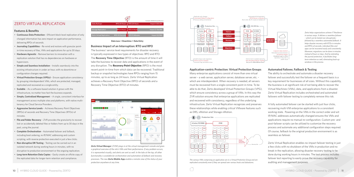#### ZERTO VIRTUAL REPLICATION

#### **Features & Benefits**

- **Continuous Data Protection**  Efficient block-level replication of only changed information has zero impact on application performance, delivering RPOs of seconds.
- **Journaling Capabilities**  Re-wind and restore with granular pointin-time recovery of files, VMs and applications for up to 30 days.
- **Hardware Agnostic** Remove barriers to innovation with a replication solution that has no dependencies on hardware or hypervisors.
- **Simple and Seamless Installation** Installs seamlessly into the existing infrastructure in under an hour, with no downtime or configuration changes required.
- **Virtual Protection Groups (VPGs)**  Ensure application consistency by grouping interdependent VMs, which are protected, managed, replicated and recovered as a single entity.
- **Scalable** As a software-based solution it grows with the infrastructure, no matter how fast the business expands.
- **Simple, Centralized Managemen**t A single, consistent interface for management across multiple sites and platforms, with native multitenancy for Cloud Service Providers.
- **Aggressive Service Levels** Achieves Recovery Point Objectives (RPOs) of seconds and Recovery Time Objectives (RTOs) of minutes.
- **File and Folder Recovery** ZVR provides the granularity to recover lost or accidentally deleted files or folders from up to 30 days in the past, using the journal.
- **Complete Orchestration** Automated failover and failback, including boot ordering, re-IP/MAC addressing and custom scripting, with reverse protection executed in just a few clicks.
- **Non-disruptive DR Testing** Testing can be carried out in an isolated network during working hours in minutes, with no disruption to production environment or the ongoing replication.
- **Long-term Retention Data Copies** Easily create an offsite copy of the replicated data for longer-term retention and compliance.

#### **Business Impact of an Interruption: RTO and RPO**

The business' service level requirements for disaster recovery is typically expressed in two types of objectives: RPO and RTO. The **Recovery Time Objective** (RTO) is the amount of time it will take the business to recover data and applications in the event of any disruption. The **Recovery Point Objective** (RPO) is the most recent point-in-time from which data can be recovered. Traditional backup or snapshot technologies have RPOs ranging from 15 minutes, up to as long as 24 hours. Zerto Virtual Replication achieves a Recovery Point Objective (RPO) of seconds and a Recovery Time Objective (RTO) of minutes.





#### **Data Loss + Downtime + Data Entry**

*Zerto Virtual Manager (ZVM) plugs in at the virtual management console and gives a graphical overview of the site's VMs and their performance. If any problem occurs, it is represented visually, and alerts are sent as well. In the tabs at the top, all other functionality is available for orchestration and automation of failback and recovery processes. The new* **Zerto Mobile App** *enables a remote view of the status of your protection anywhere at any time.*

#### **Automated Failover, Failback & Testing**

The ability to orchestrate and automate a disaster recovery failover and successfully test the failover on a frequent basis is a key requirement for businesses of all sizes. Without this capability, the business is at significant risk of not being able to recover the Virtual Machines (VMs), data, and applications from a disaster. Zerto Virtual Replication includes orchestrated and automated failovers with failover testing to completely remove this risk.

A fully automated failover can be started with just four clicks, recovering multi-VM enterprise applications to a consistent working state. Powering on the VMs in the correct order and wit IP/MAC addresses automatically changed ensures the VMs and applications require no manual re-configuration. Custom pre- and post-failover scripts can be utilized to customize the recovery process and automate any additional configuration steps required. Of course, failback to the original production environment is as seamless as failover.

Zerto Virtual Replication enables no-impact failover testing in just a few clicks with no shutdown of the VMs in production and no break in the replication, allowing disaster recovery testing to be done during working hours in minutes. The test process includes failover test reporting to easily prove the recovery capability for auditing and management purposes.





*Zerto helps organizations achieve IT Resilience in various ways. It delivers a seamless failover – which can be tested non-disruptively– followed by a seamless automated failback. It helps disaster recovery with RTOs in minutes and RPOs of seconds, individual files and apps can be recovered easily and consistently. Moreover, migrations can be done in minutes instead of hours or days. And by extending the journal protection, it facilitates longterm-retention as well, eliminating back-up windows in the process.*

#### **Application-centric Protection: Virtual Protection Groups**

Many enterprise applications consist of more than one virtual server – a web server, application server, database server, etc. – which are interdependent. When recovery is needed, all servers must be recovered from a single consistent point-in-time. To be able to do that, Zerto developed Virtual Protection Groups (VPG), which ensure consistency across a group of VMs. In this way the ZVR solution ensures that enterprise applications are replicated and recovered with consistency, regardless of the underlying infrastructure. Zerto Virtual Replication recognizes and preserves these relationships while enabling critical VMware features such as DRS, vMotion and Storage vMotion.



*The various VMs comprising an application are in a Virtual Protection Group and are replicated consistently even if they are spread over various hosts and datastores.*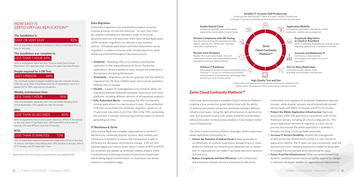#### **Data Migration**

Datacenter migrations and consolidation projects consume massive amounts of time and resources. As such, they must be carefully scheduled and planned in order to minimize downtime and loss of productivity. With Zerto Virtual Replication (ZVR) however, migrations can become a near-painless activity. Virtualized applications and entire datacenters can be migrated in a matter of minutes with minimal downtime, while remaining protected throughout the entire process.

- **Simplicity** Migrating VMs is as simple as pointing the replication to the target datastore of choice. Production applications remain available to users and are still protected to the recovery site during this process.
- **Granularity** Migrations can be very granular with the ability to migrate at the VM Disk (VMDK) level, which can be pointed to different tiers of storage.
- **Flexible** Support for heterogeneous environments allows for migrations between disparate hardware, hypervisors and cloud platforms, including different versions of all supported products.
- **Fully Automated Moves** Leveraging the VPG functionality, moving applications to a new location is easy. Once protected, ZVR then orchestrates the shutdown, migration, power-on, re-IP and script execution of all of the VMs in the VPG, completing this process in minutes and ensuring minimal impact to revenue generating activities.

#### **IT Resilience & Zerto**

Zerto Virtual Replication enables organizations to achieve IT Resilience by combining disaster recovery, data mobility and infrastructure flexibility to ensure that the business is able to withstand any disruption and embrace change. ZVR not only achieves aggressive service levels when it comes to RPO and RTO, but simplifies and speeds up workload mobility projects while simultaneously protecting existing infrastructure investments and enabling digital transformation, so businesses can always maintain a competitive edge.

In this way Zerto provides a complete Cloud Continuity Platform™, enabling a true, production grade hybrid cloud with the ability to mobilize and protect production workloads between different infrastructure types. Using the right infrastructure to optimize for cost, SLA and performance with simple scalability and flexibility, without disruption to the business enables a truly resilient hybrid cloud infrastructure.

#### <span id="page-6-0"></span>HOW EASY IS ZERTO VIRTUAL REPLICATION?\*

#### **The installation is:**

#### **EASY OR VERY EASY** 82%

92% of respondents classified installation of Zerto Virtual Replication as easy or very easy.

#### **The installation was complete in:**

#### LESS THAN 1 HOUR 40%

40% of respondents spent less than 1 hour to install Zerto Virtual Replication; 52% spent less than 4 hours; 0% spent more than 8 hours.

#### **People required for a DR Test:**

#### JUST 1 PERSON 48%

The maximum number of people needed to execute a disaster recovery (DR) test using Zerto Virtual Replication for all respondents was 2 to 3 people (52%); 48% required just one person.

#### **Weekly maintenance time:**

LESS THAN 1 HOUR 76%

76% of respondents spend less than 1 hour per week managing Zerto Virtual Replication; 52% spends less than 30 minutes.

#### **RPO:**

#### LESS THAN 30 SECONDS 80%

80% of respondents have recovery point objectives (RPOs) of 30 seconds or less with Zerto Virtual Replication; 40% have RPOs of less than 10 seconds; 0% have RPOs of more than 15 minutes.

#### **RTO:**

#### LESS THAN 15 MINUTES 72%

Move beyond disaster recovery with Resilience for  $\bigcap$ Evolving  $IT^M$  so you can withstand any disaster and seamlessly incorporate new technology while delivering on your brand promise

72% of respondents reported recovery time objectives (RTOs) of less than 15 minutes with Zerto Virtual Replication: 28% less than 5 minutes, 44% 6 to 15 minutes, and 0% more than 1 hour.

*\*Results taken from a Zerto survey of actual customers from September 2016*

The Zerto Cloud Continuity Platform leverages Zerto's hypervisorbased replication functionality to:

- **Unlock the Potential of Hybrid Cloud:** Enable workloads to run effectively on multiple hypervisors, storage arrays or cloud platforms. Without any infrastructure dependencies or vendor lock-in, organizations can make IT purchase decisions based on SLA and price.
- **Reduce Complexity and Gain Efficiency:** Fully orchestrates and automates disaster recovery processes as well as the

mobilization and migration of workloads. Migrations take just minutes, while disaster recovery would dramatically exceed service levels with RPOs of seconds and RTOs of minutes.

- **Protect the Whole Application Infrastructure:** Replicate and protect multi-VM applications consistently with Virtual Protection Groups, including all critical configurations. This means application recovery or migration is a fast, secure process that ensures the whole application is available in minutes, resulting in truly portable workloads.
- **Increase IT Service Flexibility:** Simplify the management of data across the infrastructure so that it is not a barrier to application mobility. The IT team can now successfully meet the demand of an ever-changing organization better by being able to manage the environment while optimizing for costs.
- **Future Proof the Infrastructure:** Make your environment truly dynamic, enabling transformation to rapidly respond to changes in software, hardware, vendors or organizational requirements.

#### **Zerto Cloud Continuity Platform™**



### **Recover from Disasters**<br>Recover from hurricanes, floods, fires and



 $\mathbb{E}^{\mathbb{Z}}$ 

automate IT processes and leverage their expertise to further your business.

#### **Enable Hybrid Cloud**

Seamlessly replicate, move and migrate applications across platforms and clouds

#### **Achieve Compliance with DR Testing**

Non-disruptive testing, documented with clear reports, satisfies PCI, HIPAA, SEC, SOX and many other requirements

Recover from hurricanes, floods, fires and ransomware attacks with automated processes, leveraging continuous data protection

#### **Achieve IT Resilience**

**High Quality Test and Dev** Create a test and development environment that mirrors production for higher quality development efforts and more accurate test results

#### **Application Mobility**

Encapsulate applications and data for simple protection, mobility and management

#### **Accelerate Migrations to Cloud or Anywhere**

With no hardware dependencies, mobilizing and migrating applications is complete in minutes

**Innovate and Modernize IT** Seamlessly incorporate new

technologies and clouds into your IT operations

#### **One-to-Many Replication**

Increased recovery options while providing more flexibility and retention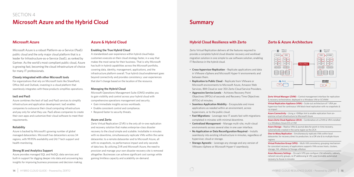### <span id="page-7-0"></span>SECTION 4 **Microsoft Azure and the Hybrid Cloud**

#### **Microsoft Azure**

Microsoft Azure is a robust Platform-as-a-Service (PaaS) public cloud and the only major cloud platform that is a leader for Infrastructure-as-a-Service (IaaS), as ranked by Gartner. As the world's most compliant public cloud, Azure is growing fast, becoming the cloud infrastructure of choice for many IT professionals.

#### **Closely integrated with other Microsoft tools**

For organizations that rely on Microsoft tools like SharePoint, Office 365 and Outlook, investing in a cloud platform that seamlessly integrates with these products simplifies operations.

#### **IaaS and PaaS**

Azure combines the best of IaaS and PaaS services to simplify infrastructure and application development. IaaS enables companies to outsource their cloud computing infrastructure and pay only for what they use. PaaS allows companies to create their own apps and customize their cloud software to meet their requirements.

#### **Reliability**

Azure is backed by Microsoft's growing number of global managed datacenters. Microsoft has datacenters across 34 regions, with 99.95% availability and 24/7 tech support and health monitoring.

#### **Strong BI and Analytics Support**

Azure provides managed SQL and NoSQL data services and built-in support for digging deeper into data and uncovering key insights for improving business processes and decision making.

#### **Azure & Hybrid Cloud**

#### **Enabling the True Hybrid Cloud**

A standardized user experience within hybrid cloud helps customers execute on their cloud strategy faster, in a way that makes the most sense for their business. That is why Microsoft has built-in hybrid capabilities across the Microsoft portfolio, covering data, identity, management, applications, and the infrastructure platform overall. True hybrid cloud enablement goes beyond connectivity and provides consistency: user experiences that don't change based on the location of the resource.

#### **Managing the Hybrid Cloud**

Microsoft Operations Management Suite (OMS) enables you to gain visibility and control across your hybrid cloud with comprehensive operations management and security.

- Gain immediate insights across workloads.
- Enable consistent control and compliance.
- Respond faster to security threats.

**Zerto Virtual Manager (ZVM)** - Central management interface for replication & recovery orchestration, deployed in a Windows VM or SCVMM

#### **Azure and Zerto**

Zerto Virtual Replication (ZVR) is the only all-in-one replication and recovery solution that makes enterprise-class disaster recovery to the cloud simple and scalable. Installable in minutes with no downtime, simultaneously replicate VMs within the same datacenter, to a remote datacenter and to Microsoft Azure, all with no snapshots, no performance impact and only seconds of data loss. By utilizing ZVR and Microsoft Azure, the need to provision and manage your own disaster recovery site is removed altogether. Businesses can achieve significant cost savings while gaining limitless capacity and scalability on-demand.

### **Summary**

#### **Hybrid Cloud Resilience with Zerto**

Zerto Virtual Replication delivers all the features required to provide a complete hybrid cloud disaster recovery and workload migration solution in one simple to use software solution, enabling IT Resilience in the hybrid cloud.

- **Cross-hypervisor Replication** Replicate applications and data in VMware vSphere and Microsoft Hyper-V environments and between them.
- **Replication to Public Cloud** Replicate from VMware or Microsoft environments to Microsoft Azure, Amazon Web Services, IBM Cloud or over 350 Zerto Cloud Service Providers.
- **Aggressive Service Levels** Achieves Recovery Point Objectives (RPOs) of seconds and Recovery Time Objectives (RTOs) of minutes.
- **Seamless Application Mobility** Encapsulate and move applications as needed within an environment, across hypervisors, or to the public cloud.
- **Fast Migrations** Leverage new IT assets fast with migrations completed in minutes with minimal downtime.
- **Centralized Management** Manage multi-site, multi-cloud environments across several sites in one user interface.
- **No Application or Data Reconfiguration Required** Installs seamlessly into existing infrastructure in minutes, regardless of hypervisor, cloud or storage.
- **Storage Agnostic** Leverage any storage and any version of VMware vSphere or Microsoft Hyper-V seamlessly.

#### **Zerto & Azure Architecture**

**Virtual Replication Appliance (VRA)** – Scale-out architecture of 1 VRA per hypervisor host for continuous VM block-level replication with no snapshots & no impact

**Azure Connectivity** – Using a >5Mbps link to enable replication from onpremise virtual infrastructure to Microsoft Azure

**Azure Zerto Cloud Appliance (ZCA)** – Combination of a ZVM & VRA installed in a Windows Azure D3 v2 VM

**Azure Storage** – Replica VMs & journal data for point-in-time recovery, automatically created in the same region as the ZCA

**One-to-Many Replication** – Simultaneously replicate VMs within local datacenter, for recovery direct to production, to a DR site & to multiple Azure regions

**Virtual Protection Group (VPG)** – Multi-VM consistency grouping mechanism for consistent recovery of applications supports VMs across hosts, clusters, storage, HA, vMotion & Storage vMotion

**Azure Recovery Settings** – On each VPG pre-configure VM networks, subnets, network security groups, re-IP addressing & VM sizes to enable automated recovery to Azure in minutes